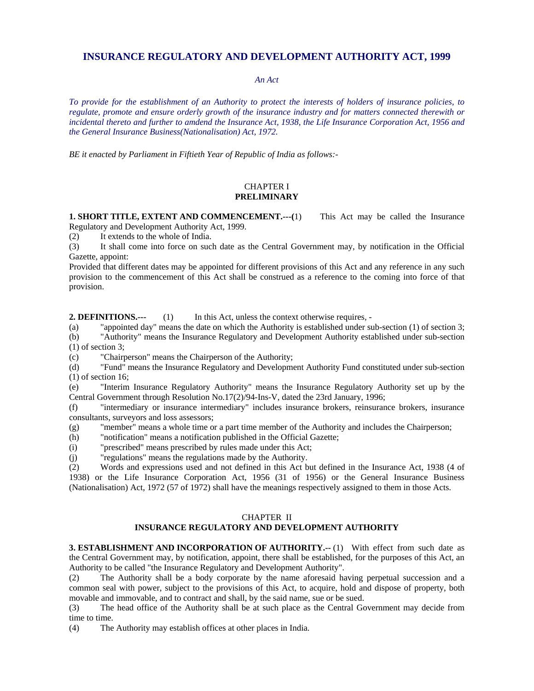# **INSURANCE REGULATORY AND DEVELOPMENT AUTHORITY ACT, 1999**

# *An Act*

*To provide for the establishment of an Authority to protect the interests of holders of insurance policies, to regulate, promote and ensure orderly growth of the insurance industry and for matters connected therewith or incidental thereto and further to amdend the Insurance Act, 1938, the Life Insurance Corporation Act, 1956 and the General Insurance Business(Nationalisation) Act, 1972.* 

*BE it enacted by Parliament in Fiftieth Year of Republic of India as follows:-* 

# CHAPTER I **PRELIMINARY**

**1. SHORT TITLE, EXTENT AND COMMENCEMENT.** --- (1) This Act may be called the Insurance Regulatory and Development Authority Act, 1999.

(2) It extends to the whole of India.

(3) It shall come into force on such date as the Central Government may, by notification in the Official Gazette, appoint:

Provided that different dates may be appointed for different provisions of this Act and any reference in any such provision to the commencement of this Act shall be construed as a reference to the coming into force of that provision.

**2. DEFINITIONS....** (1) In this Act, unless the context otherwise requires, -

(a) "appointed day" means the date on which the Authority is established under sub-section (1) of section 3; (b) "Authority" means the Insurance Regulatory and Development Authority established under sub-section (1) of section 3;

(c) "Chairperson" means the Chairperson of the Authority;

(d) "Fund" means the Insurance Regulatory and Development Authority Fund constituted under sub-section (1) of section 16;

(e) "Interim Insurance Regulatory Authority" means the Insurance Regulatory Authority set up by the Central Government through Resolution No.17(2)/94-Ins-V, dated the 23rd January, 1996;

(f) "intermediary or insurance intermediary" includes insurance brokers, reinsurance brokers, insurance consultants, surveyors and loss assessors;

(g) "member" means a whole time or a part time member of the Authority and includes the Chairperson;

(h) "notification" means a notification published in the Official Gazette;

(i) "prescribed" means prescribed by rules made under this Act;

(j) "regulations" means the regulations made by the Authority.

(2) Words and expressions used and not defined in this Act but defined in the Insurance Act, 1938 (4 of 1938) or the Life Insurance Corporation Act, 1956 (31 of 1956) or the General Insurance Business (Nationalisation) Act, 1972 (57 of 1972) shall have the meanings respectively assigned to them in those Acts.

# CHAPTER II

# **INSURANCE REGULATORY AND DEVELOPMENT AUTHORITY**

**3. ESTABLISHMENT AND INCORPORATION OF AUTHORITY.--** (1) With effect from such date as the Central Government may, by notification, appoint, there shall be established, for the purposes of this Act, an Authority to be called "the Insurance Regulatory and Development Authority".

(2) The Authority shall be a body corporate by the name aforesaid having perpetual succession and a common seal with power, subject to the provisions of this Act, to acquire, hold and dispose of property, both movable and immovable, and to contract and shall, by the said name, sue or be sued.

(3) The head office of the Authority shall be at such place as the Central Government may decide from time to time.

(4) The Authority may establish offices at other places in India.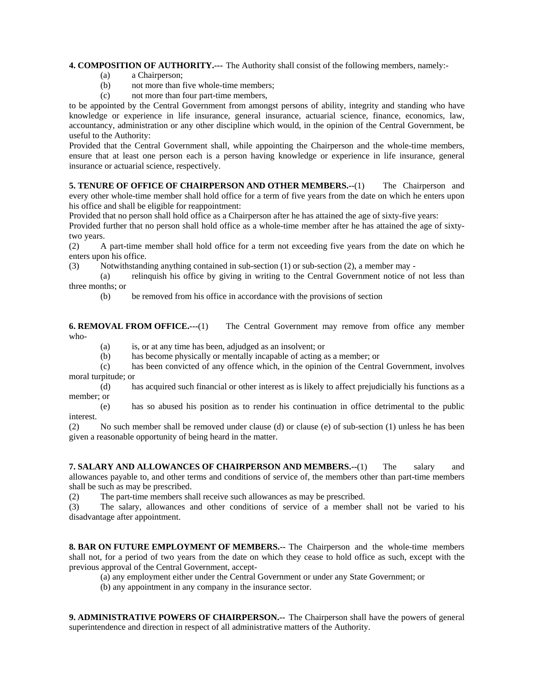**4. COMPOSITION OF AUTHORITY.---** The Authority shall consist of the following members, namely:-

- (a) a Chairperson;
- (b) not more than five whole-time members;
- (c) not more than four part-time members,

to be appointed by the Central Government from amongst persons of ability, integrity and standing who have knowledge or experience in life insurance, general insurance, actuarial science, finance, economics, law, accountancy, administration or any other discipline which would, in the opinion of the Central Government, be useful to the Authority:

Provided that the Central Government shall, while appointing the Chairperson and the whole-time members, ensure that at least one person each is a person having knowledge or experience in life insurance, general insurance or actuarial science, respectively.

**5. TENURE OF OFFICE OF CHAIRPERSON AND OTHER MEMBERS.**--(1) The Chairperson and every other whole-time member shall hold office for a term of five years from the date on which he enters upon his office and shall be eligible for reappointment:

Provided that no person shall hold office as a Chairperson after he has attained the age of sixty-five years:

Provided further that no person shall hold office as a whole-time member after he has attained the age of sixtytwo years.

(2) A part-time member shall hold office for a term not exceeding five years from the date on which he enters upon his office.

(3) Notwithstanding anything contained in sub-section (1) or sub-section (2), a member may -

 (a) relinquish his office by giving in writing to the Central Government notice of not less than three months; or

(b) be removed from his office in accordance with the provisions of section

**6. REMOVAL FROM OFFICE.---**(1) The Central Government may remove from office any member who-

- (a) is, or at any time has been, adjudged as an insolvent; or
- (b) has become physically or mentally incapable of acting as a member; or

 (c) has been convicted of any offence which, in the opinion of the Central Government, involves moral turpitude; or

 (d) has acquired such financial or other interest as is likely to affect prejudicially his functions as a member; or

 (e) has so abused his position as to render his continuation in office detrimental to the public interest.

(2) No such member shall be removed under clause (d) or clause (e) of sub-section (1) unless he has been given a reasonable opportunity of being heard in the matter.

**7. SALARY AND ALLOWANCES OF CHAIRPERSON AND MEMBERS.--**(1) The salary and allowances payable to, and other terms and conditions of service of, the members other than part-time members shall be such as may be prescribed.

(2) The part-time members shall receive such allowances as may be prescribed.

(3) The salary, allowances and other conditions of service of a member shall not be varied to his disadvantage after appointment.

**8. BAR ON FUTURE EMPLOYMENT OF MEMBERS.--** The Chairperson and the whole-time members shall not, for a period of two years from the date on which they cease to hold office as such, except with the previous approval of the Central Government, accept-

(a) any employment either under the Central Government or under any State Government; or

(b) any appointment in any company in the insurance sector.

**9. ADMINISTRATIVE POWERS OF CHAIRPERSON.** The Chairperson shall have the powers of general superintendence and direction in respect of all administrative matters of the Authority.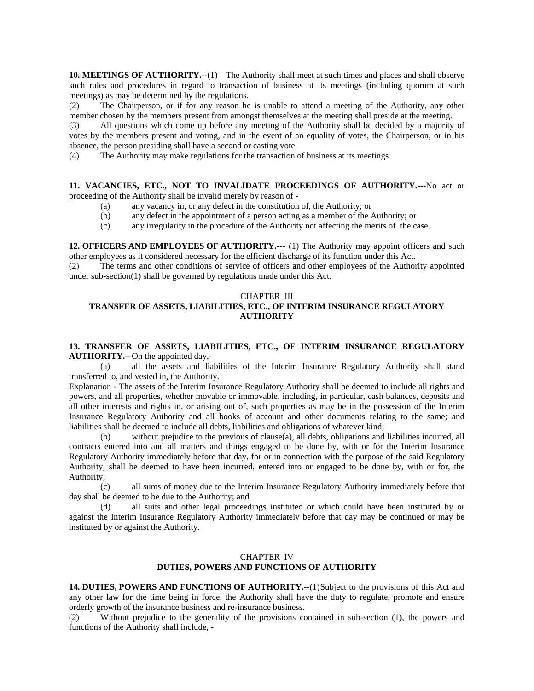**10. MEETINGS OF AUTHORITY.--**(1) The Authority shall meet at such times and places and shall observe such rules and procedures in regard to transaction of business at its meetings (including quorum at such meetings) as may be determined by the regulations.

(2) The Chairperson, or if for any reason he is unable to attend a meeting of the Authority, any other member chosen by the members present from amongst themselves at the meeting shall preside at the meeting.

(3) All questions which come up before any meeting of the Authority shall be decided by a majority of votes by the members present and voting, and in the event of an equality of votes, the Chairperson, or in his absence, the person presiding shall have a second or casting vote.

(4) The Authority may make regulations for the transaction of business at its meetings.

### **11. VACANCIES, ETC., NOT TO INVALIDATE PROCEEDINGS OF AUTHORITY.---**No act or proceeding of the Authority shall be invalid merely by reason of -

- (a) any vacancy in, or any defect in the constitution of, the Authority; or
- (b) any defect in the appointment of a person acting as a member of the Authority; or
- (c) any irregularity in the procedure of the Authority not affecting the merits of the case.

**12. OFFICERS AND EMPLOYEES OF AUTHORITY.---** (1) The Authority may appoint officers and such other employees as it considered necessary for the efficient discharge of its function under this Act.

(2) The terms and other conditions of service of officers and other employees of the Authority appointed under sub-section(1) shall be governed by regulations made under this Act.

### CHAPTER III

# **TRANSFER OF ASSETS, LIABILITIES, ETC., OF INTERIM INSURANCE REGULATORY AUTHORITY**

### **13. TRANSFER OF ASSETS, LIABILITIES, ETC., OF INTERIM INSURANCE REGULATORY AUTHORITY.--** On the appointed day,-

 (a) all the assets and liabilities of the Interim Insurance Regulatory Authority shall stand transferred to, and vested in, the Authority.

Explanation - The assets of the Interim Insurance Regulatory Authority shall be deemed to include all rights and powers, and all properties, whether movable or immovable, including, in particular, cash balances, deposits and all other interests and rights in, or arising out of, such properties as may be in the possession of the Interim Insurance Regulatory Authority and all books of account and other documents relating to the same; and liabilities shall be deemed to include all debts, liabilities and obligations of whatever kind;

 (b) without prejudice to the previous of clause(a), all debts, obligations and liabilities incurred, all contracts entered into and all matters and things engaged to be done by, with or for the Interim Insurance Regulatory Authority immediately before that day, for or in connection with the purpose of the said Regulatory Authority, shall be deemed to have been incurred, entered into or engaged to be done by, with or for, the Authority;

 (c) all sums of money due to the Interim Insurance Regulatory Authority immediately before that day shall be deemed to be due to the Authority; and

 (d) all suits and other legal proceedings instituted or which could have been instituted by or against the Interim Insurance Regulatory Authority immediately before that day may be continued or may be instituted by or against the Authority.

### CHAPTER IV **DUTIES, POWERS AND FUNCTIONS OF AUTHORITY**

**14. DUTIES, POWERS AND FUNCTIONS OF AUTHORITY.**--(1) Subject to the provisions of this Act and any other law for the time being in force, the Authority shall have the duty to regulate, promote and ensure orderly growth of the insurance business and re-insurance business.

(2) Without prejudice to the generality of the provisions contained in sub-section (1), the powers and functions of the Authority shall include, -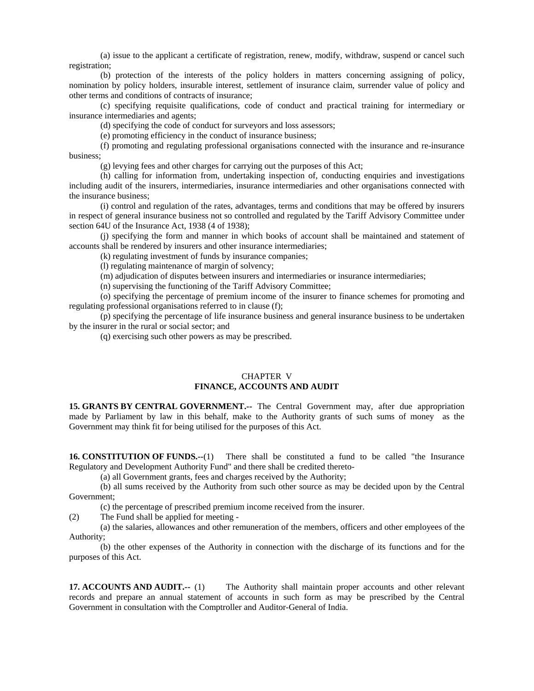(a) issue to the applicant a certificate of registration, renew, modify, withdraw, suspend or cancel such registration;

 (b) protection of the interests of the policy holders in matters concerning assigning of policy, nomination by policy holders, insurable interest, settlement of insurance claim, surrender value of policy and other terms and conditions of contracts of insurance;

 (c) specifying requisite qualifications, code of conduct and practical training for intermediary or insurance intermediaries and agents;

(d) specifying the code of conduct for surveyors and loss assessors;

(e) promoting efficiency in the conduct of insurance business;

 (f) promoting and regulating professional organisations connected with the insurance and re-insurance business;

(g) levying fees and other charges for carrying out the purposes of this Act;

 (h) calling for information from, undertaking inspection of, conducting enquiries and investigations including audit of the insurers, intermediaries, insurance intermediaries and other organisations connected with the insurance business;

 (i) control and regulation of the rates, advantages, terms and conditions that may be offered by insurers in respect of general insurance business not so controlled and regulated by the Tariff Advisory Committee under section 64U of the Insurance Act, 1938 (4 of 1938);

 (j) specifying the form and manner in which books of account shall be maintained and statement of accounts shall be rendered by insurers and other insurance intermediaries;

(k) regulating investment of funds by insurance companies;

(l) regulating maintenance of margin of solvency;

(m) adjudication of disputes between insurers and intermediaries or insurance intermediaries;

(n) supervising the functioning of the Tariff Advisory Committee;

 (o) specifying the percentage of premium income of the insurer to finance schemes for promoting and regulating professional organisations referred to in clause (f);

 (p) specifying the percentage of life insurance business and general insurance business to be undertaken by the insurer in the rural or social sector; and

(q) exercising such other powers as may be prescribed.

### CHAPTER V **FINANCE, ACCOUNTS AND AUDIT**

**15. GRANTS BY CENTRAL GOVERNMENT.--** The Central Government may, after due appropriation made by Parliament by law in this behalf, make to the Authority grants of such sums of money as the Government may think fit for being utilised for the purposes of this Act.

**16. CONSTITUTION OF FUNDS.--**(1) There shall be constituted a fund to be called "the Insurance Regulatory and Development Authority Fund" and there shall be credited thereto-

(a) all Government grants, fees and charges received by the Authority;

 (b) all sums received by the Authority from such other source as may be decided upon by the Central Government;

(c) the percentage of prescribed premium income received from the insurer.

(2) The Fund shall be applied for meeting -

 (a) the salaries, allowances and other remuneration of the members, officers and other employees of the Authority;

 (b) the other expenses of the Authority in connection with the discharge of its functions and for the purposes of this Act.

**17. ACCOUNTS AND AUDIT.--** (1) The Authority shall maintain proper accounts and other relevant records and prepare an annual statement of accounts in such form as may be prescribed by the Central Government in consultation with the Comptroller and Auditor-General of India.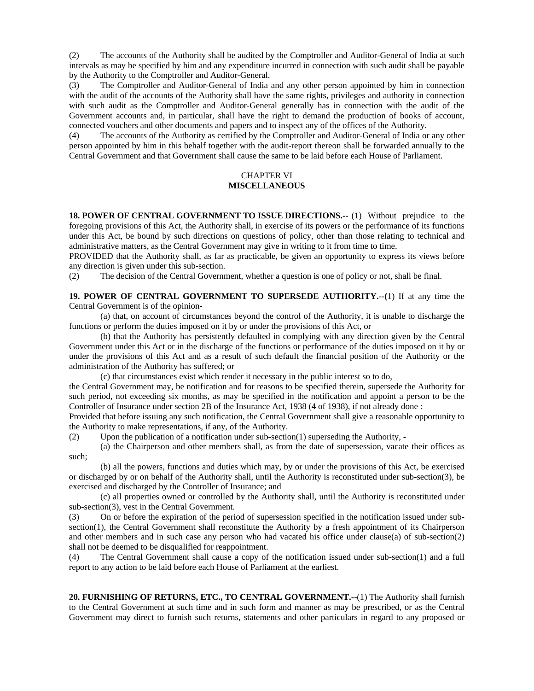(2) The accounts of the Authority shall be audited by the Comptroller and Auditor-General of India at such intervals as may be specified by him and any expenditure incurred in connection with such audit shall be payable by the Authority to the Comptroller and Auditor-General.

(3) The Comptroller and Auditor-General of India and any other person appointed by him in connection with the audit of the accounts of the Authority shall have the same rights, privileges and authority in connection with such audit as the Comptroller and Auditor-General generally has in connection with the audit of the Government accounts and, in particular, shall have the right to demand the production of books of account, connected vouchers and other documents and papers and to inspect any of the offices of the Authority.

(4) The accounts of the Authority as certified by the Comptroller and Auditor-General of India or any other person appointed by him in this behalf together with the audit-report thereon shall be forwarded annually to the Central Government and that Government shall cause the same to be laid before each House of Parliament.

# CHAPTER VI **MISCELLANEOUS**

**18. POWER OF CENTRAL GOVERNMENT TO ISSUE DIRECTIONS.--** (1) Without prejudice to the foregoing provisions of this Act, the Authority shall, in exercise of its powers or the performance of its functions under this Act, be bound by such directions on questions of policy, other than those relating to technical and administrative matters, as the Central Government may give in writing to it from time to time.

PROVIDED that the Authority shall, as far as practicable, be given an opportunity to express its views before any direction is given under this sub-section.

(2) The decision of the Central Government, whether a question is one of policy or not, shall be final.

**19. POWER OF CENTRAL GOVERNMENT TO SUPERSEDE AUTHORITY.--(**1) If at any time the Central Government is of the opinion-

 (a) that, on account of circumstances beyond the control of the Authority, it is unable to discharge the functions or perform the duties imposed on it by or under the provisions of this Act, or

 (b) that the Authority has persistently defaulted in complying with any direction given by the Central Government under this Act or in the discharge of the functions or performance of the duties imposed on it by or under the provisions of this Act and as a result of such default the financial position of the Authority or the administration of the Authority has suffered; or

(c) that circumstances exist which render it necessary in the public interest so to do,

the Central Government may, be notification and for reasons to be specified therein, supersede the Authority for such period, not exceeding six months, as may be specified in the notification and appoint a person to be the Controller of Insurance under section 2B of the Insurance Act, 1938 (4 of 1938), if not already done :

Provided that before issuing any such notification, the Central Government shall give a reasonable opportunity to the Authority to make representations, if any, of the Authority.

(2) Upon the publication of a notification under sub-section(1) superseding the Authority, -

 (a) the Chairperson and other members shall, as from the date of supersession, vacate their offices as such;

 (b) all the powers, functions and duties which may, by or under the provisions of this Act, be exercised or discharged by or on behalf of the Authority shall, until the Authority is reconstituted under sub-section(3), be exercised and discharged by the Controller of Insurance; and

 (c) all properties owned or controlled by the Authority shall, until the Authority is reconstituted under sub-section(3), vest in the Central Government.

(3) On or before the expiration of the period of supersession specified in the notification issued under subsection(1), the Central Government shall reconstitute the Authority by a fresh appointment of its Chairperson and other members and in such case any person who had vacated his office under clause(a) of sub-section(2) shall not be deemed to be disqualified for reappointment.

(4) The Central Government shall cause a copy of the notification issued under sub-section(1) and a full report to any action to be laid before each House of Parliament at the earliest.

**20. FURNISHING OF RETURNS, ETC., TO CENTRAL GOVERNMENT.--**(1) The Authority shall furnish to the Central Government at such time and in such form and manner as may be prescribed, or as the Central Government may direct to furnish such returns, statements and other particulars in regard to any proposed or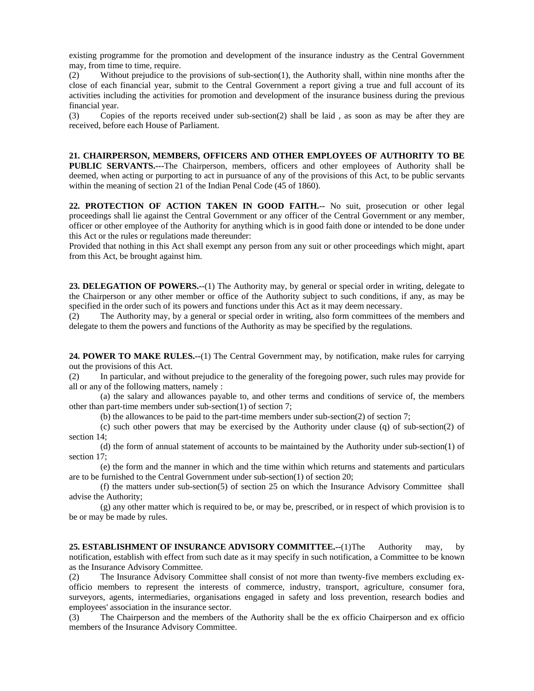existing programme for the promotion and development of the insurance industry as the Central Government may, from time to time, require.

(2) Without prejudice to the provisions of sub-section(1), the Authority shall, within nine months after the close of each financial year, submit to the Central Government a report giving a true and full account of its activities including the activities for promotion and development of the insurance business during the previous financial year.

(3) Copies of the reports received under sub-section(2) shall be laid , as soon as may be after they are received, before each House of Parliament.

**21. CHAIRPERSON, MEMBERS, OFFICERS AND OTHER EMPLOYEES OF AUTHORITY TO BE PUBLIC SERVANTS.---**The Chairperson, members, officers and other employees of Authority shall be deemed, when acting or purporting to act in pursuance of any of the provisions of this Act, to be public servants within the meaning of section 21 of the Indian Penal Code (45 of 1860).

**22. PROTECTION OF ACTION TAKEN IN GOOD FAITH.--** No suit, prosecution or other legal proceedings shall lie against the Central Government or any officer of the Central Government or any member, officer or other employee of the Authority for anything which is in good faith done or intended to be done under this Act or the rules or regulations made thereunder:

Provided that nothing in this Act shall exempt any person from any suit or other proceedings which might, apart from this Act, be brought against him.

**23. DELEGATION OF POWERS.--**(1) The Authority may, by general or special order in writing, delegate to the Chairperson or any other member or office of the Authority subject to such conditions, if any, as may be specified in the order such of its powers and functions under this Act as it may deem necessary.

(2) The Authority may, by a general or special order in writing, also form committees of the members and delegate to them the powers and functions of the Authority as may be specified by the regulations.

**24. POWER TO MAKE RULES.--**(1) The Central Government may, by notification, make rules for carrying out the provisions of this Act.

(2) In particular, and without prejudice to the generality of the foregoing power, such rules may provide for all or any of the following matters, namely :

 (a) the salary and allowances payable to, and other terms and conditions of service of, the members other than part-time members under sub-section(1) of section 7;

(b) the allowances to be paid to the part-time members under sub-section(2) of section 7;

 (c) such other powers that may be exercised by the Authority under clause (q) of sub-section(2) of section 14;

 (d) the form of annual statement of accounts to be maintained by the Authority under sub-section(1) of section 17:

 (e) the form and the manner in which and the time within which returns and statements and particulars are to be furnished to the Central Government under sub-section(1) of section 20;

 (f) the matters under sub-section(5) of section 25 on which the Insurance Advisory Committee shall advise the Authority;

 (g) any other matter which is required to be, or may be, prescribed, or in respect of which provision is to be or may be made by rules.

**25. ESTABLISHMENT OF INSURANCE ADVISORY COMMITTEE.--**(1) The Authority may, by notification, establish with effect from such date as it may specify in such notification, a Committee to be known as the Insurance Advisory Committee.

(2) The Insurance Advisory Committee shall consist of not more than twenty-five members excluding exofficio members to represent the interests of commerce, industry, transport, agriculture, consumer fora, surveyors, agents, intermediaries, organisations engaged in safety and loss prevention, research bodies and employees' association in the insurance sector.

(3) The Chairperson and the members of the Authority shall be the ex officio Chairperson and ex officio members of the Insurance Advisory Committee.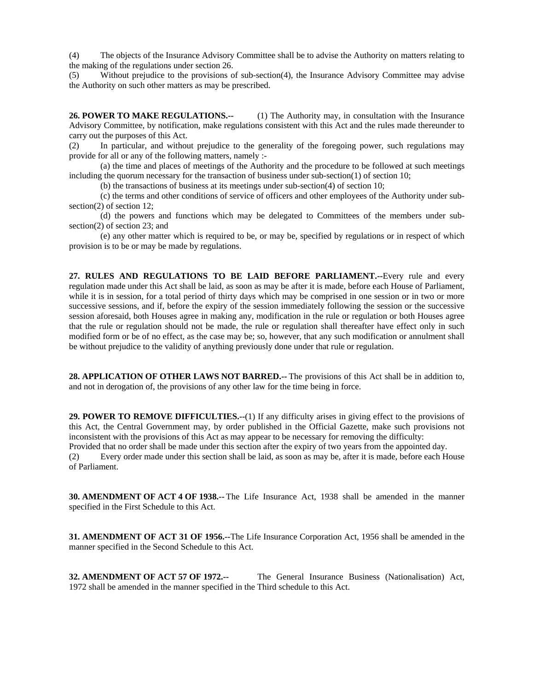(4) The objects of the Insurance Advisory Committee shall be to advise the Authority on matters relating to the making of the regulations under section 26.

(5) Without prejudice to the provisions of sub-section(4), the Insurance Advisory Committee may advise the Authority on such other matters as may be prescribed.

**26. POWER TO MAKE REGULATIONS.**-- (1) The Authority may, in consultation with the Insurance Advisory Committee, by notification, make regulations consistent with this Act and the rules made thereunder to carry out the purposes of this Act.

(2) In particular, and without prejudice to the generality of the foregoing power, such regulations may provide for all or any of the following matters, namely :-

 (a) the time and places of meetings of the Authority and the procedure to be followed at such meetings including the quorum necessary for the transaction of business under  $sub-section(1)$  of section 10;

(b) the transactions of business at its meetings under sub-section(4) of section 10;

 (c) the terms and other conditions of service of officers and other employees of the Authority under subsection(2) of section 12;

 (d) the powers and functions which may be delegated to Committees of the members under subsection(2) of section 23; and

 (e) any other matter which is required to be, or may be, specified by regulations or in respect of which provision is to be or may be made by regulations.

**27. RULES AND REGULATIONS TO BE LAID BEFORE PARLIAMENT.--**Every rule and every regulation made under this Act shall be laid, as soon as may be after it is made, before each House of Parliament, while it is in session, for a total period of thirty days which may be comprised in one session or in two or more successive sessions, and if, before the expiry of the session immediately following the session or the successive session aforesaid, both Houses agree in making any, modification in the rule or regulation or both Houses agree that the rule or regulation should not be made, the rule or regulation shall thereafter have effect only in such modified form or be of no effect, as the case may be; so, however, that any such modification or annulment shall be without prejudice to the validity of anything previously done under that rule or regulation.

**28. APPLICATION OF OTHER LAWS NOT BARRED.--** The provisions of this Act shall be in addition to, and not in derogation of, the provisions of any other law for the time being in force.

**29. POWER TO REMOVE DIFFICULTIES.--**(1) If any difficulty arises in giving effect to the provisions of this Act, the Central Government may, by order published in the Official Gazette, make such provisions not inconsistent with the provisions of this Act as may appear to be necessary for removing the difficulty:

Provided that no order shall be made under this section after the expiry of two years from the appointed day. (2) Every order made under this section shall be laid, as soon as may be, after it is made, before each House of Parliament.

**30. AMENDMENT OF ACT 4 OF 1938.--** The Life Insurance Act, 1938 shall be amended in the manner specified in the First Schedule to this Act.

**31. AMENDMENT OF ACT 31 OF 1956.--**The Life Insurance Corporation Act, 1956 shall be amended in the manner specified in the Second Schedule to this Act.

**32. AMENDMENT OF ACT 57 OF 1972.--** The General Insurance Business (Nationalisation) Act, 1972 shall be amended in the manner specified in the Third schedule to this Act.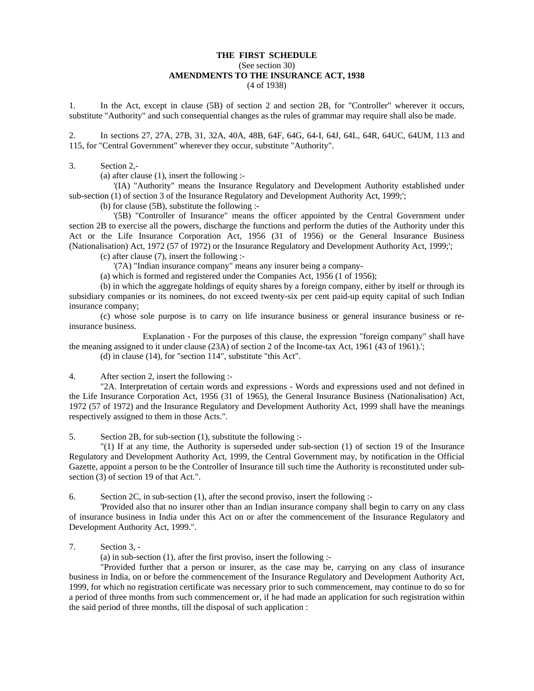# **THE FIRST SCHEDULE**  (See section 30) **AMENDMENTS TO THE INSURANCE ACT, 1938**  (4 of 1938)

1. In the Act, except in clause (5B) of section 2 and section 2B, for "Controller" wherever it occurs, substitute "Authority" and such consequential changes as the rules of grammar may require shall also be made.

2. In sections 27, 27A, 27B, 31, 32A, 40A, 48B, 64F, 64G, 64-I, 64J, 64L, 64R, 64UC, 64UM, 113 and 115, for "Central Government" wherever they occur, substitute "Authority".

#### 3. Section 2,-

(a) after clause  $(1)$ , insert the following :-

 '(IA) "Authority" means the Insurance Regulatory and Development Authority established under sub-section (1) of section 3 of the Insurance Regulatory and Development Authority Act, 1999;';

(b) for clause (5B), substitute the following :-

 '(5B) "Controller of Insurance" means the officer appointed by the Central Government under section 2B to exercise all the powers, discharge the functions and perform the duties of the Authority under this Act or the Life Insurance Corporation Act, 1956 (31 of 1956) or the General Insurance Business (Nationalisation) Act, 1972 (57 of 1972) or the Insurance Regulatory and Development Authority Act, 1999;';

(c) after clause (7), insert the following :-

'(7A) "Indian insurance company" means any insurer being a company-

(a) which is formed and registered under the Companies Act, 1956 (1 of 1956);

 (b) in which the aggregate holdings of equity shares by a foreign company, either by itself or through its subsidiary companies or its nominees, do not exceed twenty-six per cent paid-up equity capital of such Indian insurance company;

 (c) whose sole purpose is to carry on life insurance business or general insurance business or reinsurance business.

 Explanation - For the purposes of this clause, the expression "foreign company" shall have the meaning assigned to it under clause (23A) of section 2 of the Income-tax Act, 1961 (43 of 1961).'; (d) in clause (14), for "section 114", substitute "this Act".

4. After section 2, insert the following :-

 "2A. Interpretation of certain words and expressions - Words and expressions used and not defined in the Life Insurance Corporation Act, 1956 (31 of 1965), the General Insurance Business (Nationalisation) Act, 1972 (57 of 1972) and the Insurance Regulatory and Development Authority Act, 1999 shall have the meanings respectively assigned to them in those Acts.".

5. Section 2B, for sub-section (1), substitute the following :-

 "(1) If at any time, the Authority is superseded under sub-section (1) of section 19 of the Insurance Regulatory and Development Authority Act, 1999, the Central Government may, by notification in the Official Gazette, appoint a person to be the Controller of Insurance till such time the Authority is reconstituted under subsection (3) of section 19 of that Act.".

6. Section 2C, in sub-section (1), after the second proviso, insert the following :-

 'Provided also that no insurer other than an Indian insurance company shall begin to carry on any class of insurance business in India under this Act on or after the commencement of the Insurance Regulatory and Development Authority Act, 1999.".

7. Section 3, -

(a) in sub-section (1), after the first proviso, insert the following :-

 "Provided further that a person or insurer, as the case may be, carrying on any class of insurance business in India, on or before the commencement of the Insurance Regulatory and Development Authority Act, 1999, for which no registration certificate was necessary prior to such commencement, may continue to do so for a period of three months from such commencement or, if he had made an application for such registration within the said period of three months, till the disposal of such application :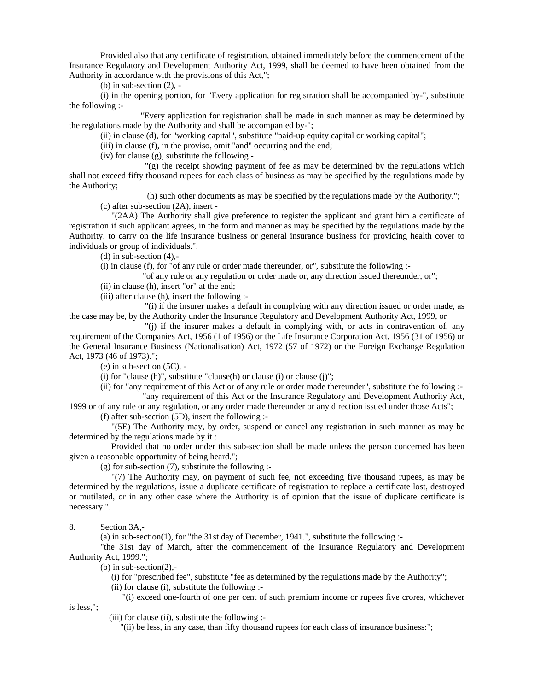Provided also that any certificate of registration, obtained immediately before the commencement of the Insurance Regulatory and Development Authority Act, 1999, shall be deemed to have been obtained from the Authority in accordance with the provisions of this Act,";

(b) in sub-section  $(2)$ , -

 (i) in the opening portion, for "Every application for registration shall be accompanied by-", substitute the following :-

 "Every application for registration shall be made in such manner as may be determined by the regulations made by the Authority and shall be accompanied by-";

(ii) in clause (d), for "working capital", substitute "paid-up equity capital or working capital";

(iii) in clause (f), in the proviso, omit "and" occurring and the end;

(iv) for clause (g), substitute the following -

 "(g) the receipt showing payment of fee as may be determined by the regulations which shall not exceed fifty thousand rupees for each class of business as may be specified by the regulations made by the Authority;

(h) such other documents as may be specified by the regulations made by the Authority.";

(c) after sub-section (2A), insert -

 "(2AA) The Authority shall give preference to register the applicant and grant him a certificate of registration if such applicant agrees, in the form and manner as may be specified by the regulations made by the Authority, to carry on the life insurance business or general insurance business for providing health cover to individuals or group of individuals.".

(d) in sub-section  $(4)$ ,-

 $(i)$  in clause (f), for "of any rule or order made thereunder, or", substitute the following :-

"of any rule or any regulation or order made or, any direction issued thereunder, or";

(ii) in clause (h), insert "or" at the end;

(iii) after clause (h), insert the following :-

 "(i) if the insurer makes a default in complying with any direction issued or order made, as the case may be, by the Authority under the Insurance Regulatory and Development Authority Act, 1999, or

 "(j) if the insurer makes a default in complying with, or acts in contravention of, any requirement of the Companies Act, 1956 (1 of 1956) or the Life Insurance Corporation Act, 1956 (31 of 1956) or the General Insurance Business (Nationalisation) Act, 1972 (57 of 1972) or the Foreign Exchange Regulation Act, 1973 (46 of 1973).";

 $(e)$  in sub-section  $(5C)$ , -

(i) for "clause (h)", substitute "clause(h) or clause (i) or clause (j)";

 (ii) for "any requirement of this Act or of any rule or order made thereunder", substitute the following :- "any requirement of this Act or the Insurance Regulatory and Development Authority Act,

1999 or of any rule or any regulation, or any order made thereunder or any direction issued under those Acts"; (f) after sub-section (5D), insert the following :-

 "(5E) The Authority may, by order, suspend or cancel any registration in such manner as may be determined by the regulations made by it :

 Provided that no order under this sub-section shall be made unless the person concerned has been given a reasonable opportunity of being heard.";

 $(g)$  for sub-section  $(7)$ , substitute the following :-

 "(7) The Authority may, on payment of such fee, not exceeding five thousand rupees, as may be determined by the regulations, issue a duplicate certificate of registration to replace a certificate lost, destroyed or mutilated, or in any other case where the Authority is of opinion that the issue of duplicate certificate is necessary.".

8. Section 3A,-

(a) in sub-section(1), for "the 31st day of December, 1941.", substitute the following :-

 "the 31st day of March, after the commencement of the Insurance Regulatory and Development Authority Act, 1999.";

(b) in sub-section(2),-

(i) for "prescribed fee", substitute "fee as determined by the regulations made by the Authority";

 $(ii)$  for clause  $(i)$ , substitute the following :-

"(i) exceed one-fourth of one per cent of such premium income or rupees five crores, whichever

is less,";

 $(iii)$  for clause  $(ii)$ , substitute the following :-

"(ii) be less, in any case, than fifty thousand rupees for each class of insurance business:";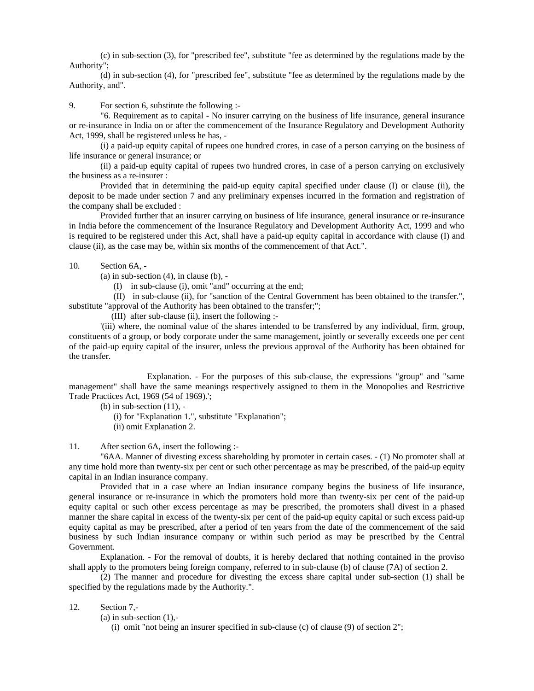(c) in sub-section (3), for "prescribed fee", substitute "fee as determined by the regulations made by the Authority";

 (d) in sub-section (4), for "prescribed fee", substitute "fee as determined by the regulations made by the Authority, and".

9. For section 6, substitute the following :-

 "6. Requirement as to capital - No insurer carrying on the business of life insurance, general insurance or re-insurance in India on or after the commencement of the Insurance Regulatory and Development Authority Act, 1999, shall be registered unless he has, -

 (i) a paid-up equity capital of rupees one hundred crores, in case of a person carrying on the business of life insurance or general insurance; or

 (ii) a paid-up equity capital of rupees two hundred crores, in case of a person carrying on exclusively the business as a re-insurer :

 Provided that in determining the paid-up equity capital specified under clause (I) or clause (ii), the deposit to be made under section 7 and any preliminary expenses incurred in the formation and registration of the company shall be excluded :

 Provided further that an insurer carrying on business of life insurance, general insurance or re-insurance in India before the commencement of the Insurance Regulatory and Development Authority Act, 1999 and who is required to be registered under this Act, shall have a paid-up equity capital in accordance with clause (I) and clause (ii), as the case may be, within six months of the commencement of that Act.".

# 10. Section 6A, -

(a) in sub-section  $(4)$ , in clause  $(b)$ , -

(I) in sub-clause (i), omit "and" occurring at the end;

 (II) in sub-clause (ii), for "sanction of the Central Government has been obtained to the transfer.", substitute "approval of the Authority has been obtained to the transfer;";

(III) after sub-clause (ii), insert the following :-

 '(iii) where, the nominal value of the shares intended to be transferred by any individual, firm, group, constituents of a group, or body corporate under the same management, jointly or severally exceeds one per cent of the paid-up equity capital of the insurer, unless the previous approval of the Authority has been obtained for the transfer.

 Explanation. - For the purposes of this sub-clause, the expressions "group" and "same management" shall have the same meanings respectively assigned to them in the Monopolies and Restrictive Trade Practices Act, 1969 (54 of 1969).';

(b) in sub-section (11), -

(i) for "Explanation 1.", substitute "Explanation";

(ii) omit Explanation 2.

11. After section 6A, insert the following :-

 "6AA. Manner of divesting excess shareholding by promoter in certain cases. - (1) No promoter shall at any time hold more than twenty-six per cent or such other percentage as may be prescribed, of the paid-up equity capital in an Indian insurance company.

 Provided that in a case where an Indian insurance company begins the business of life insurance, general insurance or re-insurance in which the promoters hold more than twenty-six per cent of the paid-up equity capital or such other excess percentage as may be prescribed, the promoters shall divest in a phased manner the share capital in excess of the twenty-six per cent of the paid-up equity capital or such excess paid-up equity capital as may be prescribed, after a period of ten years from the date of the commencement of the said business by such Indian insurance company or within such period as may be prescribed by the Central Government.

 Explanation. - For the removal of doubts, it is hereby declared that nothing contained in the proviso shall apply to the promoters being foreign company, referred to in sub-clause (b) of clause (7A) of section 2.

 (2) The manner and procedure for divesting the excess share capital under sub-section (1) shall be specified by the regulations made by the Authority.".

12. Section 7,-

(a) in sub-section  $(1)$ ,-

(i) omit "not being an insurer specified in sub-clause (c) of clause (9) of section 2";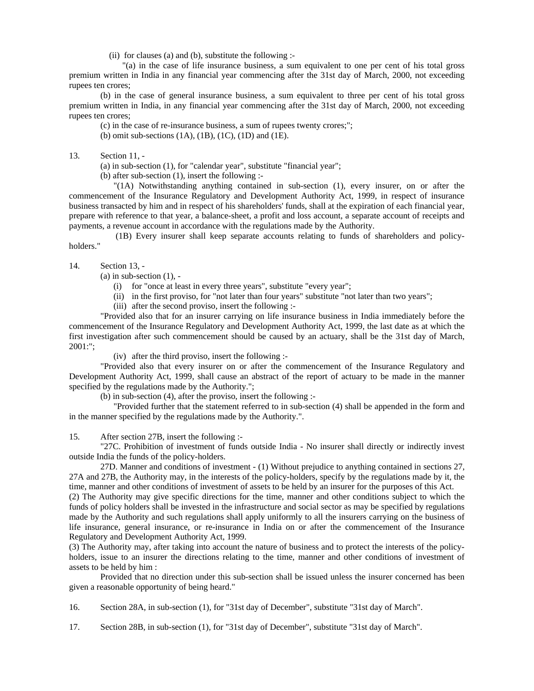(ii) for clauses (a) and (b), substitute the following  $\cdot$ -

 "(a) in the case of life insurance business, a sum equivalent to one per cent of his total gross premium written in India in any financial year commencing after the 31st day of March, 2000, not exceeding rupees ten crores;

 (b) in the case of general insurance business, a sum equivalent to three per cent of his total gross premium written in India, in any financial year commencing after the 31st day of March, 2000, not exceeding rupees ten crores;

(c) in the case of re-insurance business, a sum of rupees twenty crores;";

(b) omit sub-sections  $(1A)$ ,  $(1B)$ ,  $(1C)$ ,  $(1D)$  and  $(1E)$ .

13. Section 11, -

(a) in sub-section (1), for "calendar year", substitute "financial year";

(b) after sub-section (1), insert the following :-

 "(1A) Notwithstanding anything contained in sub-section (1), every insurer, on or after the commencement of the Insurance Regulatory and Development Authority Act, 1999, in respect of insurance business transacted by him and in respect of his shareholders' funds, shall at the expiration of each financial year, prepare with reference to that year, a balance-sheet, a profit and loss account, a separate account of receipts and payments, a revenue account in accordance with the regulations made by the Authority.

 (1B) Every insurer shall keep separate accounts relating to funds of shareholders and policyholders."

# 14. Section 13, -

 $(a)$  in sub-section  $(1)$ , -

- (i) for "once at least in every three years", substitute "every year";
- (ii) in the first proviso, for "not later than four years" substitute "not later than two years";
- (iii) after the second proviso, insert the following :-

 "Provided also that for an insurer carrying on life insurance business in India immediately before the commencement of the Insurance Regulatory and Development Authority Act, 1999, the last date as at which the first investigation after such commencement should be caused by an actuary, shall be the 31st day of March, 2001:";

(iv) after the third proviso, insert the following :-

 "Provided also that every insurer on or after the commencement of the Insurance Regulatory and Development Authority Act, 1999, shall cause an abstract of the report of actuary to be made in the manner specified by the regulations made by the Authority.";

(b) in sub-section (4), after the proviso, insert the following :-

 "Provided further that the statement referred to in sub-section (4) shall be appended in the form and in the manner specified by the regulations made by the Authority.".

15. After section 27B, insert the following :-

 "27C. Prohibition of investment of funds outside India - No insurer shall directly or indirectly invest outside India the funds of the policy-holders.

 27D. Manner and conditions of investment - (1) Without prejudice to anything contained in sections 27, 27A and 27B, the Authority may, in the interests of the policy-holders, specify by the regulations made by it, the time, manner and other conditions of investment of assets to be held by an insurer for the purposes of this Act.

(2) The Authority may give specific directions for the time, manner and other conditions subject to which the funds of policy holders shall be invested in the infrastructure and social sector as may be specified by regulations made by the Authority and such regulations shall apply uniformly to all the insurers carrying on the business of life insurance, general insurance, or re-insurance in India on or after the commencement of the Insurance Regulatory and Development Authority Act, 1999.

(3) The Authority may, after taking into account the nature of business and to protect the interests of the policyholders, issue to an insurer the directions relating to the time, manner and other conditions of investment of assets to be held by him :

 Provided that no direction under this sub-section shall be issued unless the insurer concerned has been given a reasonable opportunity of being heard."

16. Section 28A, in sub-section (1), for "31st day of December", substitute "31st day of March".

17. Section 28B, in sub-section (1), for "31st day of December", substitute "31st day of March".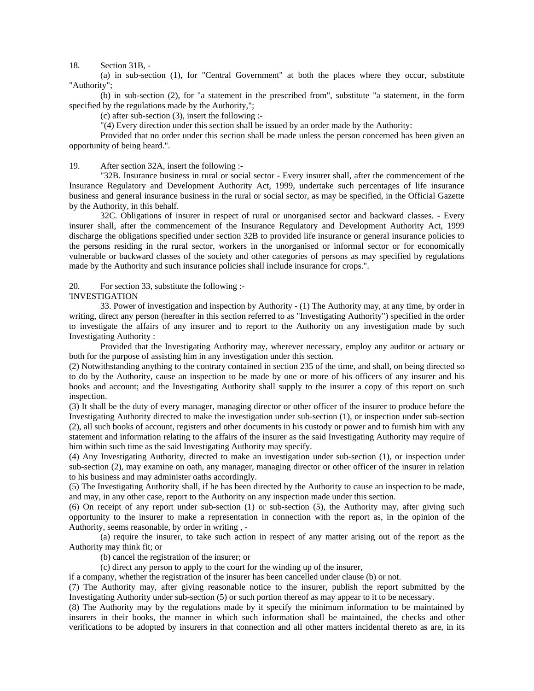### 18. Section 31B, -

 (a) in sub-section (1), for "Central Government" at both the places where they occur, substitute "Authority";

 (b) in sub-section (2), for "a statement in the prescribed from", substitute "a statement, in the form specified by the regulations made by the Authority,";

(c) after sub-section (3), insert the following :-

"(4) Every direction under this section shall be issued by an order made by the Authority:

 Provided that no order under this section shall be made unless the person concerned has been given an opportunity of being heard.".

19. After section 32A, insert the following :-

 "32B. Insurance business in rural or social sector - Every insurer shall, after the commencement of the Insurance Regulatory and Development Authority Act, 1999, undertake such percentages of life insurance business and general insurance business in the rural or social sector, as may be specified, in the Official Gazette by the Authority, in this behalf.

 32C. Obligations of insurer in respect of rural or unorganised sector and backward classes. - Every insurer shall, after the commencement of the Insurance Regulatory and Development Authority Act, 1999 discharge the obligations specified under section 32B to provided life insurance or general insurance policies to the persons residing in the rural sector, workers in the unorganised or informal sector or for economically vulnerable or backward classes of the society and other categories of persons as may specified by regulations made by the Authority and such insurance policies shall include insurance for crops.".

20. For section 33, substitute the following :-

# 'INVESTIGATION

 33. Power of investigation and inspection by Authority - (1) The Authority may, at any time, by order in writing, direct any person (hereafter in this section referred to as "Investigating Authority") specified in the order to investigate the affairs of any insurer and to report to the Authority on any investigation made by such Investigating Authority :

 Provided that the Investigating Authority may, wherever necessary, employ any auditor or actuary or both for the purpose of assisting him in any investigation under this section.

(2) Notwithstanding anything to the contrary contained in section 235 of the time, and shall, on being directed so to do by the Authority, cause an inspection to be made by one or more of his officers of any insurer and his books and account; and the Investigating Authority shall supply to the insurer a copy of this report on such inspection.

(3) It shall be the duty of every manager, managing director or other officer of the insurer to produce before the Investigating Authority directed to make the investigation under sub-section (1), or inspection under sub-section (2), all such books of account, registers and other documents in his custody or power and to furnish him with any statement and information relating to the affairs of the insurer as the said Investigating Authority may require of him within such time as the said Investigating Authority may specify.

(4) Any Investigating Authority, directed to make an investigation under sub-section (1), or inspection under sub-section (2), may examine on oath, any manager, managing director or other officer of the insurer in relation to his business and may administer oaths accordingly.

(5) The Investigating Authority shall, if he has been directed by the Authority to cause an inspection to be made, and may, in any other case, report to the Authority on any inspection made under this section.

(6) On receipt of any report under sub-section (1) or sub-section (5), the Authority may, after giving such opportunity to the insurer to make a representation in connection with the report as, in the opinion of the Authority, seems reasonable, by order in writing , -

 (a) require the insurer, to take such action in respect of any matter arising out of the report as the Authority may think fit; or

(b) cancel the registration of the insurer; or

(c) direct any person to apply to the court for the winding up of the insurer,

if a company, whether the registration of the insurer has been cancelled under clause (b) or not.

(7) The Authority may, after giving reasonable notice to the insurer, publish the report submitted by the Investigating Authority under sub-section (5) or such portion thereof as may appear to it to be necessary.

(8) The Authority may by the regulations made by it specify the minimum information to be maintained by insurers in their books, the manner in which such information shall be maintained, the checks and other verifications to be adopted by insurers in that connection and all other matters incidental thereto as are, in its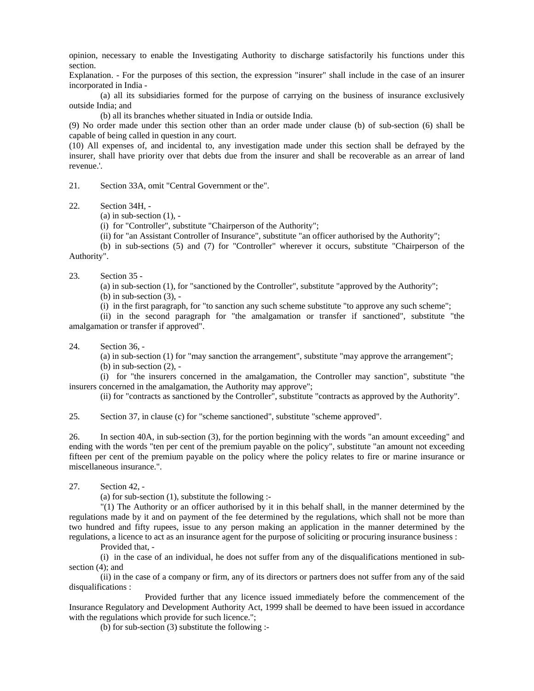opinion, necessary to enable the Investigating Authority to discharge satisfactorily his functions under this section.

Explanation. - For the purposes of this section, the expression "insurer" shall include in the case of an insurer incorporated in India -

 (a) all its subsidiaries formed for the purpose of carrying on the business of insurance exclusively outside India; and

(b) all its branches whether situated in India or outside India.

(9) No order made under this section other than an order made under clause (b) of sub-section (6) shall be capable of being called in question in any court.

(10) All expenses of, and incidental to, any investigation made under this section shall be defrayed by the insurer, shall have priority over that debts due from the insurer and shall be recoverable as an arrear of land revenue.'.

21. Section 33A, omit "Central Government or the".

22. Section 34H, -

(a) in sub-section  $(1)$ , -

(i) for "Controller", substitute "Chairperson of the Authority";

(ii) for "an Assistant Controller of Insurance", substitute "an officer authorised by the Authority";

 (b) in sub-sections (5) and (7) for "Controller" wherever it occurs, substitute "Chairperson of the Authority".

# 23. Section 35 -

 (a) in sub-section (1), for "sanctioned by the Controller", substitute "approved by the Authority"; (b) in sub-section  $(3)$ , -

(i) in the first paragraph, for "to sanction any such scheme substitute "to approve any such scheme";

 (ii) in the second paragraph for "the amalgamation or transfer if sanctioned", substitute "the amalgamation or transfer if approved".

24. Section 36, -

 (a) in sub-section (1) for "may sanction the arrangement", substitute "may approve the arrangement"; (b) in sub-section  $(2)$ , -

 (i) for "the insurers concerned in the amalgamation, the Controller may sanction", substitute "the insurers concerned in the amalgamation, the Authority may approve";

(ii) for "contracts as sanctioned by the Controller", substitute "contracts as approved by the Authority".

25. Section 37, in clause (c) for "scheme sanctioned", substitute "scheme approved".

26. In section 40A, in sub-section (3), for the portion beginning with the words "an amount exceeding" and ending with the words "ten per cent of the premium payable on the policy", substitute "an amount not exceeding fifteen per cent of the premium payable on the policy where the policy relates to fire or marine insurance or miscellaneous insurance.".

27. Section 42, -

(a) for sub-section  $(1)$ , substitute the following :-

 "(1) The Authority or an officer authorised by it in this behalf shall, in the manner determined by the regulations made by it and on payment of the fee determined by the regulations, which shall not be more than two hundred and fifty rupees, issue to any person making an application in the manner determined by the regulations, a licence to act as an insurance agent for the purpose of soliciting or procuring insurance business :

Provided that, -

 (i) in the case of an individual, he does not suffer from any of the disqualifications mentioned in subsection (4); and

 (ii) in the case of a company or firm, any of its directors or partners does not suffer from any of the said disqualifications :

 Provided further that any licence issued immediately before the commencement of the Insurance Regulatory and Development Authority Act, 1999 shall be deemed to have been issued in accordance with the regulations which provide for such licence.";

(b) for sub-section (3) substitute the following :-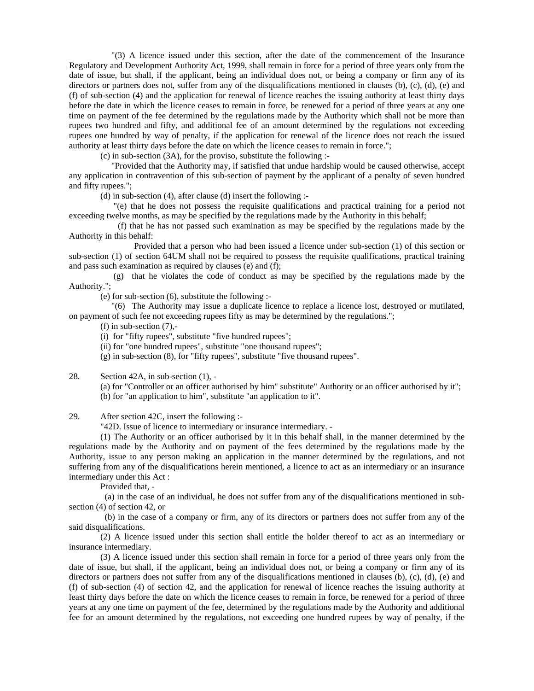"(3) A licence issued under this section, after the date of the commencement of the Insurance Regulatory and Development Authority Act, 1999, shall remain in force for a period of three years only from the date of issue, but shall, if the applicant, being an individual does not, or being a company or firm any of its directors or partners does not, suffer from any of the disqualifications mentioned in clauses (b), (c), (d), (e) and (f) of sub-section (4) and the application for renewal of licence reaches the issuing authority at least thirty days before the date in which the licence ceases to remain in force, be renewed for a period of three years at any one time on payment of the fee determined by the regulations made by the Authority which shall not be more than rupees two hundred and fifty, and additional fee of an amount determined by the regulations not exceeding rupees one hundred by way of penalty, if the application for renewal of the licence does not reach the issued authority at least thirty days before the date on which the licence ceases to remain in force.";

(c) in sub-section (3A), for the proviso, substitute the following :-

 "Provided that the Authority may, if satisfied that undue hardship would be caused otherwise, accept any application in contravention of this sub-section of payment by the applicant of a penalty of seven hundred and fifty rupees.";

(d) in sub-section (4), after clause (d) insert the following :-

 "(e) that he does not possess the requisite qualifications and practical training for a period not exceeding twelve months, as may be specified by the regulations made by the Authority in this behalf;

 (f) that he has not passed such examination as may be specified by the regulations made by the Authority in this behalf:

 Provided that a person who had been issued a licence under sub-section (1) of this section or sub-section (1) of section 64UM shall not be required to possess the requisite qualifications, practical training and pass such examination as required by clauses (e) and (f);

 (g) that he violates the code of conduct as may be specified by the regulations made by the Authority.";

(e) for sub-section (6), substitute the following :-

 "(6) The Authority may issue a duplicate licence to replace a licence lost, destroyed or mutilated, on payment of such fee not exceeding rupees fifty as may be determined by the regulations.";

(f) in sub-section  $(7)$ ,-

(i) for "fifty rupees", substitute "five hundred rupees";

(ii) for "one hundred rupees", substitute "one thousand rupees";

(g) in sub-section (8), for "fifty rupees", substitute "five thousand rupees".

28. Section 42A, in sub-section (1), -

 (a) for "Controller or an officer authorised by him" substitute" Authority or an officer authorised by it"; (b) for "an application to him", substitute "an application to it".

29. After section 42C, insert the following :-

"42D. Issue of licence to intermediary or insurance intermediary. -

 (1) The Authority or an officer authorised by it in this behalf shall, in the manner determined by the regulations made by the Authority and on payment of the fees determined by the regulations made by the Authority, issue to any person making an application in the manner determined by the regulations, and not suffering from any of the disqualifications herein mentioned, a licence to act as an intermediary or an insurance intermediary under this Act :

Provided that, -

 (a) in the case of an individual, he does not suffer from any of the disqualifications mentioned in subsection (4) of section 42, or

 (b) in the case of a company or firm, any of its directors or partners does not suffer from any of the said disqualifications.

 (2) A licence issued under this section shall entitle the holder thereof to act as an intermediary or insurance intermediary.

 (3) A licence issued under this section shall remain in force for a period of three years only from the date of issue, but shall, if the applicant, being an individual does not, or being a company or firm any of its directors or partners does not suffer from any of the disqualifications mentioned in clauses (b), (c), (d), (e) and (f) of sub-section (4) of section 42, and the application for renewal of licence reaches the issuing authority at least thirty days before the date on which the licence ceases to remain in force, be renewed for a period of three years at any one time on payment of the fee, determined by the regulations made by the Authority and additional fee for an amount determined by the regulations, not exceeding one hundred rupees by way of penalty, if the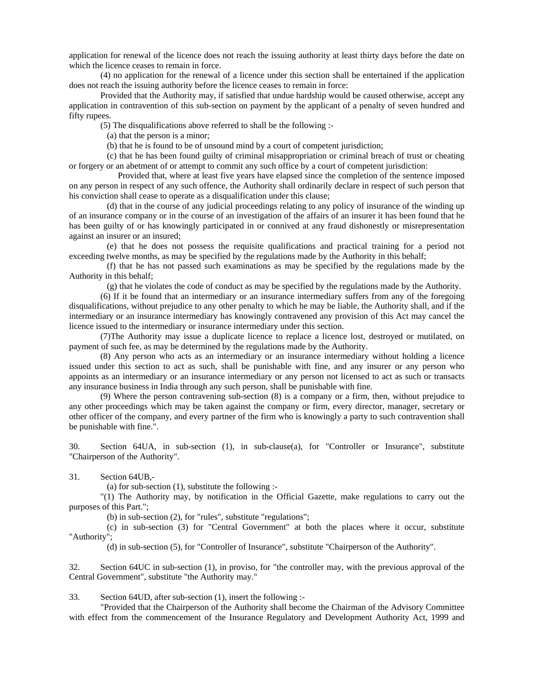application for renewal of the licence does not reach the issuing authority at least thirty days before the date on which the licence ceases to remain in force.

 (4) no application for the renewal of a licence under this section shall be entertained if the application does not reach the issuing authority before the licence ceases to remain in force:

 Provided that the Authority may, if satisfied that undue hardship would be caused otherwise, accept any application in contravention of this sub-section on payment by the applicant of a penalty of seven hundred and fifty rupees.

(5) The disqualifications above referred to shall be the following :-

(a) that the person is a minor;

(b) that he is found to be of unsound mind by a court of competent jurisdiction;

 (c) that he has been found guilty of criminal misappropriation or criminal breach of trust or cheating or forgery or an abetment of or attempt to commit any such office by a court of competent jurisdiction:

 Provided that, where at least five years have elapsed since the completion of the sentence imposed on any person in respect of any such offence, the Authority shall ordinarily declare in respect of such person that his conviction shall cease to operate as a disqualification under this clause;

 (d) that in the course of any judicial proceedings relating to any policy of insurance of the winding up of an insurance company or in the course of an investigation of the affairs of an insurer it has been found that he has been guilty of or has knowingly participated in or connived at any fraud dishonestly or misrepresentation against an insurer or an insured;

 (e) that he does not possess the requisite qualifications and practical training for a period not exceeding twelve months, as may be specified by the regulations made by the Authority in this behalf;

 (f) that he has not passed such examinations as may be specified by the regulations made by the Authority in this behalf;

(g) that he violates the code of conduct as may be specified by the regulations made by the Authority.

 (6) If it be found that an intermediary or an insurance intermediary suffers from any of the foregoing disqualifications, without prejudice to any other penalty to which he may be liable, the Authority shall, and if the intermediary or an insurance intermediary has knowingly contravened any provision of this Act may cancel the licence issued to the intermediary or insurance intermediary under this section.

 (7)The Authority may issue a duplicate licence to replace a licence lost, destroyed or mutilated, on payment of such fee, as may be determined by the regulations made by the Authority.

 (8) Any person who acts as an intermediary or an insurance intermediary without holding a licence issued under this section to act as such, shall be punishable with fine, and any insurer or any person who appoints as an intermediary or an insurance intermediary or any person not licensed to act as such or transacts any insurance business in India through any such person, shall be punishable with fine.

 (9) Where the person contravening sub-section (8) is a company or a firm, then, without prejudice to any other proceedings which may be taken against the company or firm, every director, manager, secretary or other officer of the company, and every partner of the firm who is knowingly a party to such contravention shall be punishable with fine.".

30. Section 64UA, in sub-section (1), in sub-clause(a), for "Controller or Insurance", substitute "Chairperson of the Authority".

31. Section 64UB,-

(a) for sub-section  $(1)$ , substitute the following :-

 "(1) The Authority may, by notification in the Official Gazette, make regulations to carry out the purposes of this Part.";

(b) in sub-section (2), for "rules", substitute "regulations";

 (c) in sub-section (3) for "Central Government" at both the places where it occur, substitute "Authority";

(d) in sub-section (5), for "Controller of Insurance", substitute "Chairperson of the Authority".

32. Section 64UC in sub-section (1), in proviso, for "the controller may, with the previous approval of the Central Government", substitute "the Authority may."

33. Section 64UD, after sub-section (1), insert the following :-

 "Provided that the Chairperson of the Authority shall become the Chairman of the Advisory Committee with effect from the commencement of the Insurance Regulatory and Development Authority Act, 1999 and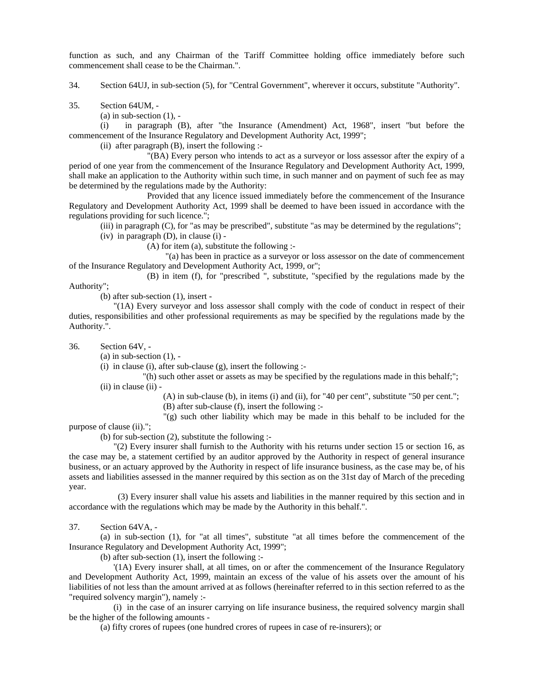function as such, and any Chairman of the Tariff Committee holding office immediately before such commencement shall cease to be the Chairman.".

34. Section 64UJ, in sub-section (5), for "Central Government", wherever it occurs, substitute "Authority".

35. Section 64UM, -

(a) in sub-section  $(1)$ , -

 (i) in paragraph (B), after "the Insurance (Amendment) Act, 1968", insert "but before the commencement of the Insurance Regulatory and Development Authority Act, 1999";

(ii) after paragraph  $(B)$ , insert the following :-

 "(BA) Every person who intends to act as a surveyor or loss assessor after the expiry of a period of one year from the commencement of the Insurance Regulatory and Development Authority Act, 1999, shall make an application to the Authority within such time, in such manner and on payment of such fee as may be determined by the regulations made by the Authority:

 Provided that any licence issued immediately before the commencement of the Insurance Regulatory and Development Authority Act, 1999 shall be deemed to have been issued in accordance with the regulations providing for such licence.";

(iii) in paragraph (C), for "as may be prescribed", substitute "as may be determined by the regulations";

(iv) in paragraph  $(D)$ , in clause  $(i)$  -

(A) for item (a), substitute the following :-

 "(a) has been in practice as a surveyor or loss assessor on the date of commencement of the Insurance Regulatory and Development Authority Act, 1999, or";

 (B) in item (f), for "prescribed ", substitute, "specified by the regulations made by the Authority";

(b) after sub-section (1), insert -

 "(1A) Every surveyor and loss assessor shall comply with the code of conduct in respect of their duties, responsibilities and other professional requirements as may be specified by the regulations made by the Authority.".

36. Section 64V, -

(a) in sub-section  $(1)$ , -

(i) in clause (i), after sub-clause (g), insert the following :-

 "(h) such other asset or assets as may be specified by the regulations made in this behalf;"; (ii) in clause (ii) -

(A) in sub-clause (b), in items (i) and (ii), for "40 per cent", substitute "50 per cent.";

(B) after sub-clause (f), insert the following :-

 "(g) such other liability which may be made in this behalf to be included for the purpose of clause (ii).";

(b) for sub-section (2), substitute the following :-

 "(2) Every insurer shall furnish to the Authority with his returns under section 15 or section 16, as the case may be, a statement certified by an auditor approved by the Authority in respect of general insurance business, or an actuary approved by the Authority in respect of life insurance business, as the case may be, of his assets and liabilities assessed in the manner required by this section as on the 31st day of March of the preceding year.

 (3) Every insurer shall value his assets and liabilities in the manner required by this section and in accordance with the regulations which may be made by the Authority in this behalf.".

37. Section 64VA, -

 (a) in sub-section (1), for "at all times", substitute "at all times before the commencement of the Insurance Regulatory and Development Authority Act, 1999";

(b) after sub-section (1), insert the following :-

 '(1A) Every insurer shall, at all times, on or after the commencement of the Insurance Regulatory and Development Authority Act, 1999, maintain an excess of the value of his assets over the amount of his liabilities of not less than the amount arrived at as follows (hereinafter referred to in this section referred to as the "required solvency margin"), namely :-

 (i) in the case of an insurer carrying on life insurance business, the required solvency margin shall be the higher of the following amounts -

(a) fifty crores of rupees (one hundred crores of rupees in case of re-insurers); or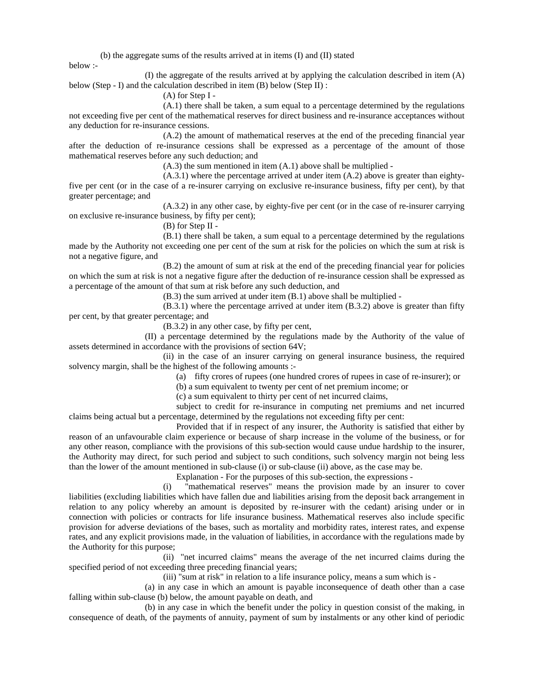(b) the aggregate sums of the results arrived at in items (I) and (II) stated

below :-

 (I) the aggregate of the results arrived at by applying the calculation described in item (A) below (Step - I) and the calculation described in item (B) below (Step II) :

(A) for Step I -

 (A.1) there shall be taken, a sum equal to a percentage determined by the regulations not exceeding five per cent of the mathematical reserves for direct business and re-insurance acceptances without any deduction for re-insurance cessions.

 (A.2) the amount of mathematical reserves at the end of the preceding financial year after the deduction of re-insurance cessions shall be expressed as a percentage of the amount of those mathematical reserves before any such deduction; and

(A.3) the sum mentioned in item (A.1) above shall be multiplied -

 (A.3.1) where the percentage arrived at under item (A.2) above is greater than eightyfive per cent (or in the case of a re-insurer carrying on exclusive re-insurance business, fifty per cent), by that greater percentage; and

 (A.3.2) in any other case, by eighty-five per cent (or in the case of re-insurer carrying on exclusive re-insurance business, by fifty per cent);

(B) for Step II -

 (B.1) there shall be taken, a sum equal to a percentage determined by the regulations made by the Authority not exceeding one per cent of the sum at risk for the policies on which the sum at risk is not a negative figure, and

 (B.2) the amount of sum at risk at the end of the preceding financial year for policies on which the sum at risk is not a negative figure after the deduction of re-insurance cession shall be expressed as a percentage of the amount of that sum at risk before any such deduction, and

(B.3) the sum arrived at under item (B.1) above shall be multiplied -

 (B.3.1) where the percentage arrived at under item (B.3.2) above is greater than fifty per cent, by that greater percentage; and

(B.3.2) in any other case, by fifty per cent,

 (II) a percentage determined by the regulations made by the Authority of the value of assets determined in accordance with the provisions of section 64V;

 (ii) in the case of an insurer carrying on general insurance business, the required solvency margin, shall be the highest of the following amounts :-

(a) fifty crores of rupees (one hundred crores of rupees in case of re-insurer); or

(b) a sum equivalent to twenty per cent of net premium income; or

(c) a sum equivalent to thirty per cent of net incurred claims,

 subject to credit for re-insurance in computing net premiums and net incurred claims being actual but a percentage, determined by the regulations not exceeding fifty per cent:

 Provided that if in respect of any insurer, the Authority is satisfied that either by reason of an unfavourable claim experience or because of sharp increase in the volume of the business, or for any other reason, compliance with the provisions of this sub-section would cause undue hardship to the insurer, the Authority may direct, for such period and subject to such conditions, such solvency margin not being less than the lower of the amount mentioned in sub-clause (i) or sub-clause (ii) above, as the case may be.

Explanation - For the purposes of this sub-section, the expressions -

 (i) "mathematical reserves" means the provision made by an insurer to cover liabilities (excluding liabilities which have fallen due and liabilities arising from the deposit back arrangement in relation to any policy whereby an amount is deposited by re-insurer with the cedant) arising under or in connection with policies or contracts for life insurance business. Mathematical reserves also include specific provision for adverse deviations of the bases, such as mortality and morbidity rates, interest rates, and expense rates, and any explicit provisions made, in the valuation of liabilities, in accordance with the regulations made by the Authority for this purpose;

 (ii) "net incurred claims" means the average of the net incurred claims during the specified period of not exceeding three preceding financial years;

(iii) "sum at risk" in relation to a life insurance policy, means a sum which is -

 (a) in any case in which an amount is payable inconsequence of death other than a case falling within sub-clause (b) below, the amount payable on death, and

 (b) in any case in which the benefit under the policy in question consist of the making, in consequence of death, of the payments of annuity, payment of sum by instalments or any other kind of periodic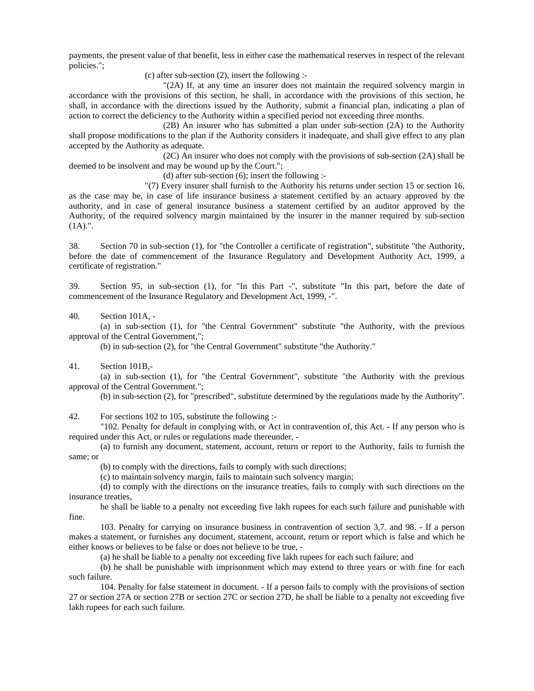payments, the present value of that benefit, less in either case the mathematical reserves in respect of the relevant policies.";

(c) after sub-section (2), insert the following :-

 "(2A) If, at any time an insurer does not maintain the required solvency margin in accordance with the provisions of this section, he shall, in accordance with the provisions of this section, he shall, in accordance with the directions issued by the Authority, submit a financial plan, indicating a plan of action to correct the deficiency to the Authority within a specified period not exceeding three months.

 (2B) An insurer who has submitted a plan under sub-section (2A) to the Authority shall propose modifications to the plan if the Authority considers it inadequate, and shall give effect to any plan accepted by the Authority as adequate.

 (2C) An insurer who does not comply with the provisions of sub-section (2A) shall be deemed to be insolvent and may be wound up by the Court.";

(d) after sub-section (6); insert the following :-

 "(7) Every insurer shall furnish to the Authority his returns under section 15 or section 16, as the case may be, in case of life insurance business a statement certified by an actuary approved by the authority, and in case of general insurance business a statement certified by an auditor approved by the Authority, of the required solvency margin maintained by the insurer in the manner required by sub-section  $(1A).$ ".

38. Section 70 in sub-section (1), for "the Controller a certificate of registration", substitute "the Authority, before the date of commencement of the Insurance Regulatory and Development Authority Act, 1999, a certificate of registration."

39. Section 95, in sub-section (1), for "In this Part -", substitute "In this part, before the date of commencement of the Insurance Regulatory and Development Act, 1999, -".

# 40. Section 101A, -

 (a) in sub-section (1), for "the Central Government" substitute "the Authority, with the previous approval of the Central Government,";

(b) in sub-section (2), for "the Central Government" substitute "the Authority."

#### 41. Section 101B,-

 (a) in sub-section (1), for "the Central Government", substitute "the Authority with the previous approval of the Central Government.";

(b) in sub-section (2), for "prescribed", substitute determined by the regulations made by the Authority".

42. For sections 102 to 105, substitute the following :-

 "102. Penalty for default in complying with, or Act in contravention of, this Act. - If any person who is required under this Act, or rules or regulations made thereunder, -

 (a) to furnish any document, statement, account, return or report to the Authority, fails to furnish the same; or

(b) to comply with the directions, fails to comply with such directions;

(c) to maintain solvency margin, fails to maintain such solvency margin;

 (d) to comply with the directions on the insurance treaties, fails to comply with such directions on the insurance treaties,

 he shall be liable to a penalty not exceeding five lakh rupees for each such failure and punishable with fine.

 103. Penalty for carrying on insurance business in contravention of section 3,7. and 98. - If a person makes a statement, or furnishes any document, statement, account, return or report which is false and which he either knows or believes to be false or does not believe to be true, -

(a) he shall be liable to a penalty not exceeding five lakh rupees for each such failure; and

 (b) he shall be punishable with imprisonment which may extend to three years or with fine for each such failure.

 104. Penalty for false statement in document. - If a person fails to comply with the provisions of section 27 or section 27A or section 27B or section 27C or section 27D, he shall be liable to a penalty not exceeding five lakh rupees for each such failure.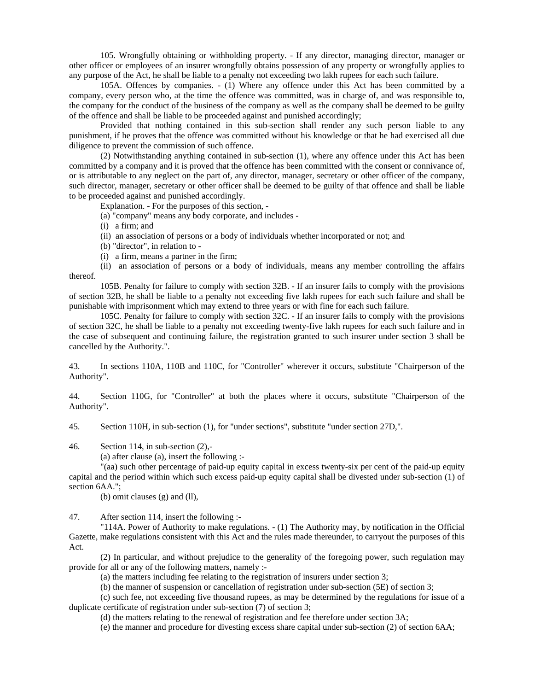105. Wrongfully obtaining or withholding property. - If any director, managing director, manager or other officer or employees of an insurer wrongfully obtains possession of any property or wrongfully applies to any purpose of the Act, he shall be liable to a penalty not exceeding two lakh rupees for each such failure.

 105A. Offences by companies. - (1) Where any offence under this Act has been committed by a company, every person who, at the time the offence was committed, was in charge of, and was responsible to, the company for the conduct of the business of the company as well as the company shall be deemed to be guilty of the offence and shall be liable to be proceeded against and punished accordingly;

 Provided that nothing contained in this sub-section shall render any such person liable to any punishment, if he proves that the offence was committed without his knowledge or that he had exercised all due diligence to prevent the commission of such offence.

 (2) Notwithstanding anything contained in sub-section (1), where any offence under this Act has been committed by a company and it is proved that the offence has been committed with the consent or connivance of, or is attributable to any neglect on the part of, any director, manager, secretary or other officer of the company, such director, manager, secretary or other officer shall be deemed to be guilty of that offence and shall be liable to be proceeded against and punished accordingly.

Explanation. - For the purposes of this section, -

(a) "company" means any body corporate, and includes -

(i) a firm; and

(ii) an association of persons or a body of individuals whether incorporated or not; and

(b) "director", in relation to -

(i) a firm, means a partner in the firm;

 (ii) an association of persons or a body of individuals, means any member controlling the affairs thereof.

 105B. Penalty for failure to comply with section 32B. - If an insurer fails to comply with the provisions of section 32B, he shall be liable to a penalty not exceeding five lakh rupees for each such failure and shall be punishable with imprisonment which may extend to three years or with fine for each such failure.

 105C. Penalty for failure to comply with section 32C. - If an insurer fails to comply with the provisions of section 32C, he shall be liable to a penalty not exceeding twenty-five lakh rupees for each such failure and in the case of subsequent and continuing failure, the registration granted to such insurer under section 3 shall be cancelled by the Authority.".

43. In sections 110A, 110B and 110C, for "Controller" wherever it occurs, substitute "Chairperson of the Authority".

44. Section 110G, for "Controller" at both the places where it occurs, substitute "Chairperson of the Authority".

45. Section 110H, in sub-section (1), for "under sections", substitute "under section 27D,".

46. Section 114, in sub-section (2),-

(a) after clause (a), insert the following :-

 "(aa) such other percentage of paid-up equity capital in excess twenty-six per cent of the paid-up equity capital and the period within which such excess paid-up equity capital shall be divested under sub-section (1) of section 6AA.";

(b) omit clauses (g) and (ll),

47. After section 114, insert the following :-

 "114A. Power of Authority to make regulations. - (1) The Authority may, by notification in the Official Gazette, make regulations consistent with this Act and the rules made thereunder, to carryout the purposes of this Act.

 (2) In particular, and without prejudice to the generality of the foregoing power, such regulation may provide for all or any of the following matters, namely :-

(a) the matters including fee relating to the registration of insurers under section 3;

(b) the manner of suspension or cancellation of registration under sub-section (5E) of section 3;

 (c) such fee, not exceeding five thousand rupees, as may be determined by the regulations for issue of a duplicate certificate of registration under sub-section (7) of section 3;

(d) the matters relating to the renewal of registration and fee therefore under section 3A;

(e) the manner and procedure for divesting excess share capital under sub-section (2) of section 6AA;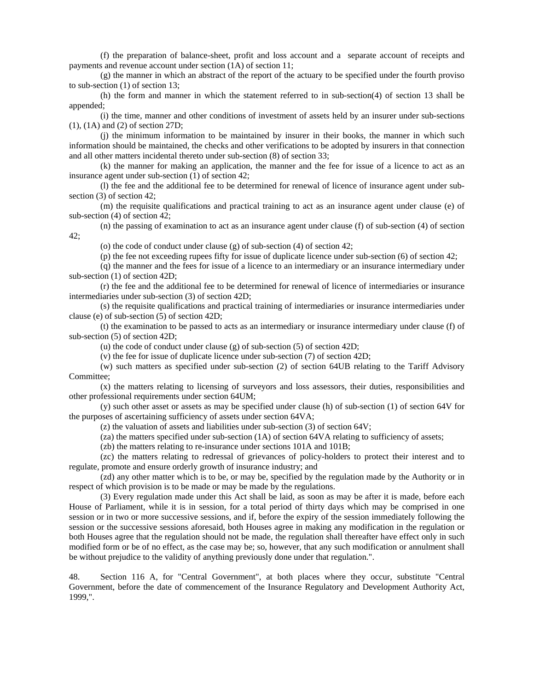(f) the preparation of balance-sheet, profit and loss account and a separate account of receipts and payments and revenue account under section (1A) of section 11;

 (g) the manner in which an abstract of the report of the actuary to be specified under the fourth proviso to sub-section (1) of section 13;

 (h) the form and manner in which the statement referred to in sub-section(4) of section 13 shall be appended;

 (i) the time, manner and other conditions of investment of assets held by an insurer under sub-sections (1), (1A) and (2) of section 27D;

 (j) the minimum information to be maintained by insurer in their books, the manner in which such information should be maintained, the checks and other verifications to be adopted by insurers in that connection and all other matters incidental thereto under sub-section (8) of section 33;

 (k) the manner for making an application, the manner and the fee for issue of a licence to act as an insurance agent under sub-section (1) of section 42;

 (l) the fee and the additional fee to be determined for renewal of licence of insurance agent under subsection (3) of section 42;

 (m) the requisite qualifications and practical training to act as an insurance agent under clause (e) of sub-section (4) of section 42;

 (n) the passing of examination to act as an insurance agent under clause (f) of sub-section (4) of section 42;

(o) the code of conduct under clause (g) of sub-section  $(4)$  of section 42;

(p) the fee not exceeding rupees fifty for issue of duplicate licence under sub-section (6) of section 42;

 (q) the manner and the fees for issue of a licence to an intermediary or an insurance intermediary under sub-section (1) of section 42D;

 (r) the fee and the additional fee to be determined for renewal of licence of intermediaries or insurance intermediaries under sub-section (3) of section 42D;

 (s) the requisite qualifications and practical training of intermediaries or insurance intermediaries under clause (e) of sub-section (5) of section 42D;

 (t) the examination to be passed to acts as an intermediary or insurance intermediary under clause (f) of sub-section (5) of section 42D;

(u) the code of conduct under clause (g) of sub-section (5) of section 42D;

(v) the fee for issue of duplicate licence under sub-section (7) of section 42D;

 (w) such matters as specified under sub-section (2) of section 64UB relating to the Tariff Advisory Committee;

 (x) the matters relating to licensing of surveyors and loss assessors, their duties, responsibilities and other professional requirements under section 64UM;

 (y) such other asset or assets as may be specified under clause (h) of sub-section (1) of section 64V for the purposes of ascertaining sufficiency of assets under section 64VA;

(z) the valuation of assets and liabilities under sub-section (3) of section 64V;

(za) the matters specified under sub-section (1A) of section 64VA relating to sufficiency of assets;

(zb) the matters relating to re-insurance under sections 101A and 101B;

 (zc) the matters relating to redressal of grievances of policy-holders to protect their interest and to regulate, promote and ensure orderly growth of insurance industry; and

 (zd) any other matter which is to be, or may be, specified by the regulation made by the Authority or in respect of which provision is to be made or may be made by the regulations.

 (3) Every regulation made under this Act shall be laid, as soon as may be after it is made, before each House of Parliament, while it is in session, for a total period of thirty days which may be comprised in one session or in two or more successive sessions, and if, before the expiry of the session immediately following the session or the successive sessions aforesaid, both Houses agree in making any modification in the regulation or both Houses agree that the regulation should not be made, the regulation shall thereafter have effect only in such modified form or be of no effect, as the case may be; so, however, that any such modification or annulment shall be without prejudice to the validity of anything previously done under that regulation.".

48. Section 116 A, for "Central Government", at both places where they occur, substitute "Central Government, before the date of commencement of the Insurance Regulatory and Development Authority Act, 1999,".